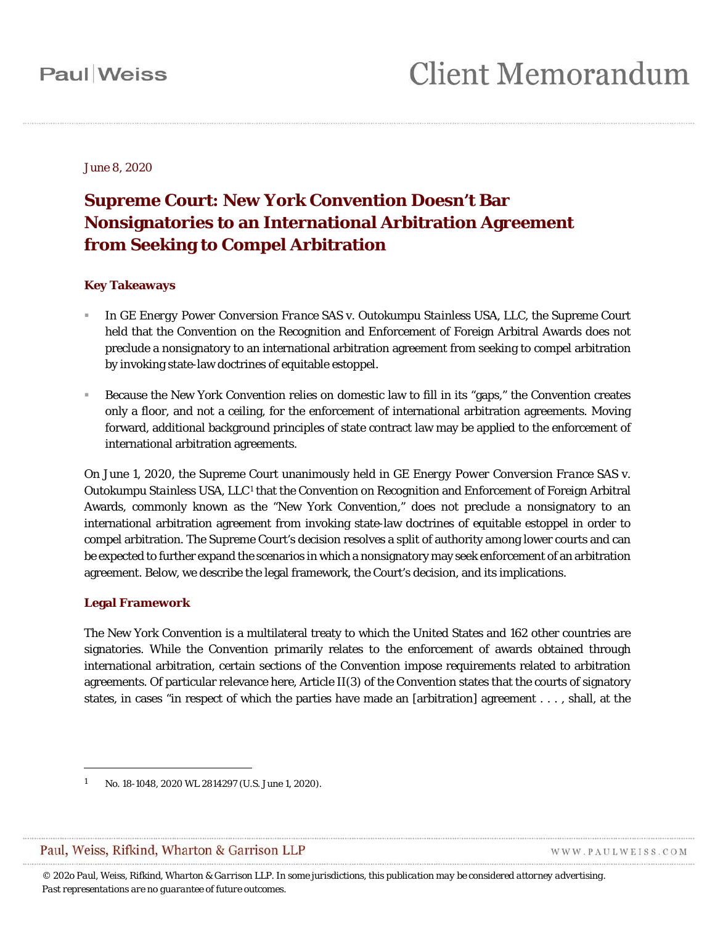June 8, 2020

### **Supreme Court: New York Convention Doesn't Bar Nonsignatories to an International Arbitration Agreement from Seeking to Compel Arbitration**

#### **Key Takeaways**

- In *GE Energy Power Conversion France SAS* v. *Outokumpu Stainless USA, LLC*, the Supreme Court held that the Convention on the Recognition and Enforcement of Foreign Arbitral Awards does not preclude a nonsignatory to an international arbitration agreement from seeking to compel arbitration by invoking state-law doctrines of equitable estoppel.
- Because the New York Convention relies on domestic law to fill in its "gaps," the Convention creates only a floor, and not a ceiling, for the enforcement of international arbitration agreements. Moving forward, additional background principles of state contract law may be applied to the enforcement of international arbitration agreements.

On June 1, 2020, the Supreme Court unanimously held in *GE Energy Power Conversion France SAS* v. *Outokumpu Stainless USA, LLC*[1](#page-0-0) that the Convention on Recognition and Enforcement of Foreign Arbitral Awards, commonly known as the "New York Convention," does not preclude a nonsignatory to an international arbitration agreement from invoking state-law doctrines of equitable estoppel in order to compel arbitration. The Supreme Court's decision resolves a split of authority among lower courts and can be expected to further expand the scenarios in which a nonsignatory may seek enforcement of an arbitration agreement. Below, we describe the legal framework, the Court's decision, and its implications.

#### **Legal Framework**

 $\overline{a}$ 

The New York Convention is a multilateral treaty to which the United States and 162 other countries are signatories. While the Convention primarily relates to the enforcement of awards obtained through international arbitration, certain sections of the Convention impose requirements related to arbitration agreements. Of particular relevance here, Article II(3) of the Convention states that the courts of signatory states, in cases "in respect of which the parties have made an [arbitration] agreement . . . , shall, at the

#### <span id="page-0-0"></span>Paul, Weiss, Rifkind, Wharton & Garrison LLP

WWW.PAULWEISS.COM

*© 202o Paul, Weiss, Rifkind, Wharton & Garrison LLP. In some jurisdictions, this publication may be considered attorney advertising. Past representations are no guarantee of future outcomes.*

<sup>1</sup> No. 18-1048, 2020 WL 2814297 (U.S. June 1, 2020).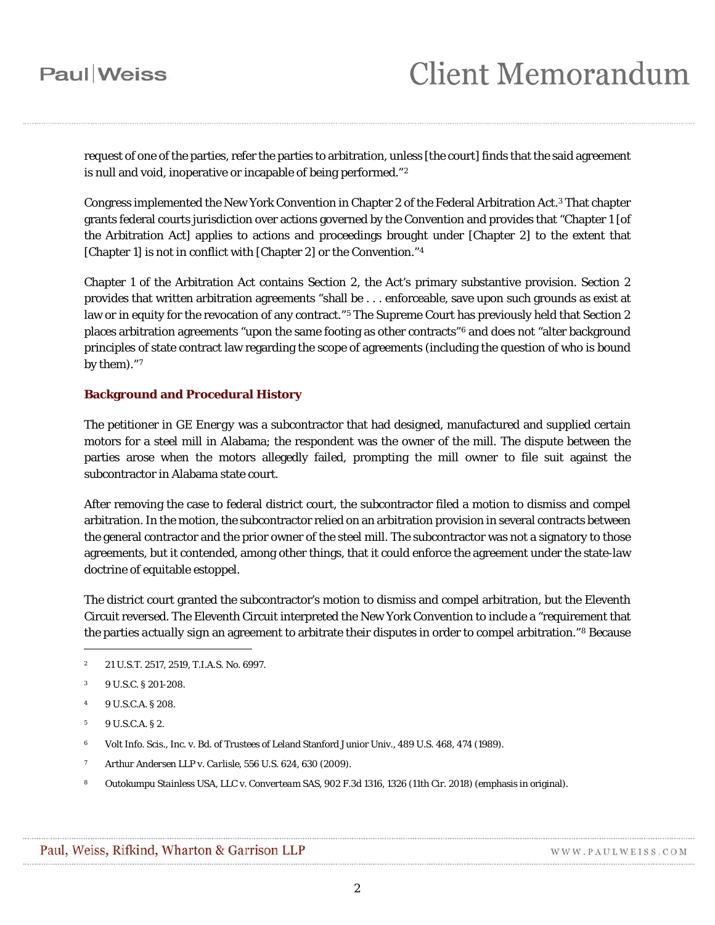## **Paul** Weiss

request of one of the parties, refer the parties to arbitration, unless [the court] finds that the said agreement is null and void, inoperative or incapable of being performed."[2](#page-1-0)

Congress implemented the New York Convention in Chapter 2 of the Federal Arbitration Act.[3](#page-1-1) That chapter grants federal courts jurisdiction over actions governed by the Convention and provides that "Chapter 1 [of the Arbitration Act] applies to actions and proceedings brought under [Chapter 2] to the extent that [Chapter 1] is not in conflict with [Chapter 2] or the Convention."[4](#page-1-2)

Chapter 1 of the Arbitration Act contains Section 2, the Act's primary substantive provision. Section 2 provides that written arbitration agreements "shall be . . . enforceable, save upon such grounds as exist at law or in equity for the revocation of any contract."<sup>[5](#page-1-3)</sup> The Supreme Court has previously held that Section 2 places arbitration agreements "upon the same footing as other contracts"[6](#page-1-4) and does not "alter background principles of state contract law regarding the scope of agreements (including the question of who is bound by them)."[7](#page-1-5)

#### **Background and Procedural History**

The petitioner in *GE Energy* was a subcontractor that had designed, manufactured and supplied certain motors for a steel mill in Alabama; the respondent was the owner of the mill. The dispute between the parties arose when the motors allegedly failed, prompting the mill owner to file suit against the subcontractor in Alabama state court.

After removing the case to federal district court, the subcontractor filed a motion to dismiss and compel arbitration. In the motion, the subcontractor relied on an arbitration provision in several contracts between the general contractor and the prior owner of the steel mill. The subcontractor was not a signatory to those agreements, but it contended, among other things, that it could enforce the agreement under the state-law doctrine of equitable estoppel.

The district court granted the subcontractor's motion to dismiss and compel arbitration, but the Eleventh Circuit reversed. The Eleventh Circuit interpreted the New York Convention to include a "requirement that the parties *actually sign* an agreement to arbitrate their disputes in order to compel arbitration."[8](#page-1-6) Because

 $\overline{a}$ 

- <span id="page-1-4"></span><sup>6</sup> Volt Info. Scis., Inc. v. Bd. of Trustees of Leland Stanford Junior Univ., 489 U.S. 468, 474 (1989).
- <span id="page-1-5"></span><sup>7</sup> *Arthur Andersen LLP* v. *Carlisle*, 556 U.S. 624, 630 (2009).
- <span id="page-1-6"></span><sup>8</sup> *Outokumpu Stainless USA, LLC* v. *Converteam SAS,* 902 F.3d 1316, 1326 (11th Cir. 2018) (emphasis in original).

<span id="page-1-0"></span><sup>2 21</sup> U.S.T. 2517, 2519, T.I.A.S. No. 6997.

<span id="page-1-1"></span><sup>3</sup> 9 U.S.C. § 201-208.

<span id="page-1-2"></span><sup>4</sup> 9 U.S.C.A. § 208.

<span id="page-1-3"></span><sup>5</sup> 9 U.S.C.A. § 2.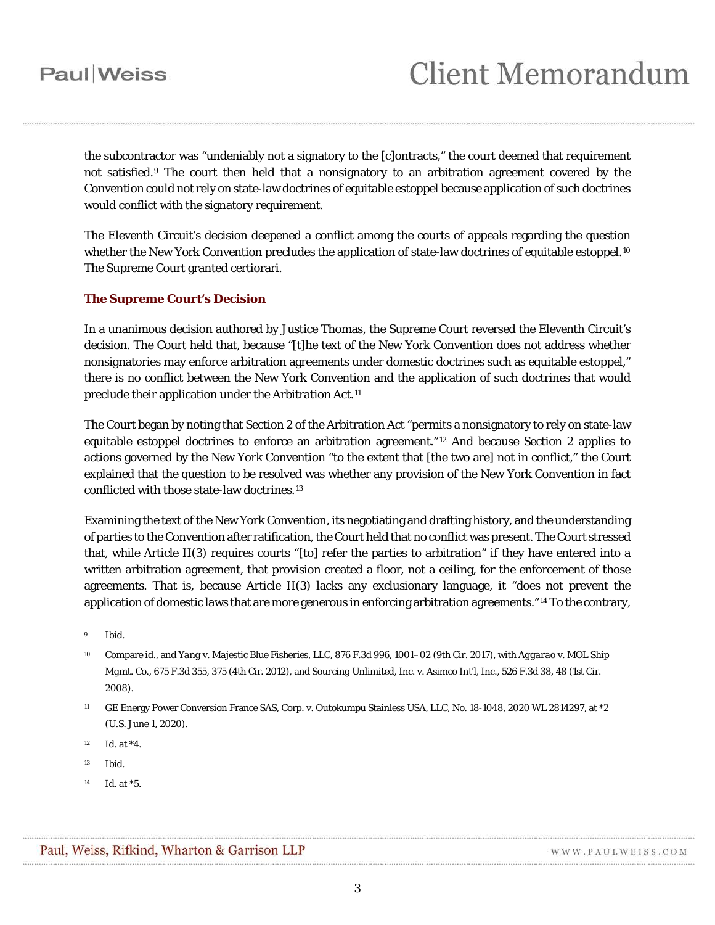the subcontractor was "undeniably not a signatory to the [c]ontracts," the court deemed that requirement not satisfied.[9](#page-2-0) The court then held that a nonsignatory to an arbitration agreement covered by the Convention could not rely on state-law doctrines of equitable estoppel because application of such doctrines would conflict with the signatory requirement.

The Eleventh Circuit's decision deepened a conflict among the courts of appeals regarding the question whether the New York Convention precludes the application of state-law doctrines of equitable estoppel.<sup>[10](#page-2-1)</sup> The Supreme Court granted certiorari.

#### **The Supreme Court's Decision**

In a unanimous decision authored by Justice Thomas, the Supreme Court reversed the Eleventh Circuit's decision. The Court held that, because "[t]he text of the New York Convention does not address whether nonsignatories may enforce arbitration agreements under domestic doctrines such as equitable estoppel," there is no conflict between the New York Convention and the application of such doctrines that would preclude their application under the Arbitration Act.[11](#page-2-2)

The Court began by noting that Section 2 of the Arbitration Act "permits a nonsignatory to rely on state-law equitable estoppel doctrines to enforce an arbitration agreement." [12](#page-2-3) And because Section 2 applies to actions governed by the New York Convention "to the extent that [the two are] not in conflict," the Court explained that the question to be resolved was whether any provision of the New York Convention in fact conflicted with those state-law doctrines.[13](#page-2-4)

Examining the text of the New York Convention, its negotiating and drafting history, and the understanding of parties to the Convention after ratification, the Court held that no conflict was present. The Court stressed that, while Article II(3) requires courts "[to] refer the parties to arbitration" if they have entered into a written arbitration agreement, that provision created a floor, not a ceiling, for the enforcement of those agreements. That is, because Article II(3) lacks any exclusionary language, it "does not prevent the application of domestic laws that are more generous in enforcing arbitration agreements."[14](#page-2-5) To the contrary,

 $\overline{a}$ 

<span id="page-2-5"></span><sup>14</sup> *Id.* at \*5.

<span id="page-2-0"></span><sup>9</sup> *Ibid.*

<span id="page-2-1"></span><sup>10</sup> Compare *id.,* and *Yang* v. *Majestic Blue Fisheries, LLC*, 876 F.3d 996, 1001–02 (9th Cir. 2017), with *Aggarao* v. *MOL Ship Mgmt. Co*., 675 F.3d 355, 375 (4th Cir. 2012), and *Sourcing Unlimited, Inc.* v. *Asimco Int'l, Inc.*, 526 F.3d 38, 48 (1st Cir. 2008).

<span id="page-2-2"></span><sup>11</sup> GE Energy Power Conversion France SAS, Corp. v. Outokumpu Stainless USA, LLC, No. 18-1048, 2020 WL 2814297, at \*2 (U.S. June 1, 2020).

<span id="page-2-3"></span><sup>12</sup> *Id.* at \*4.

<span id="page-2-4"></span><sup>13</sup> *Ibid.*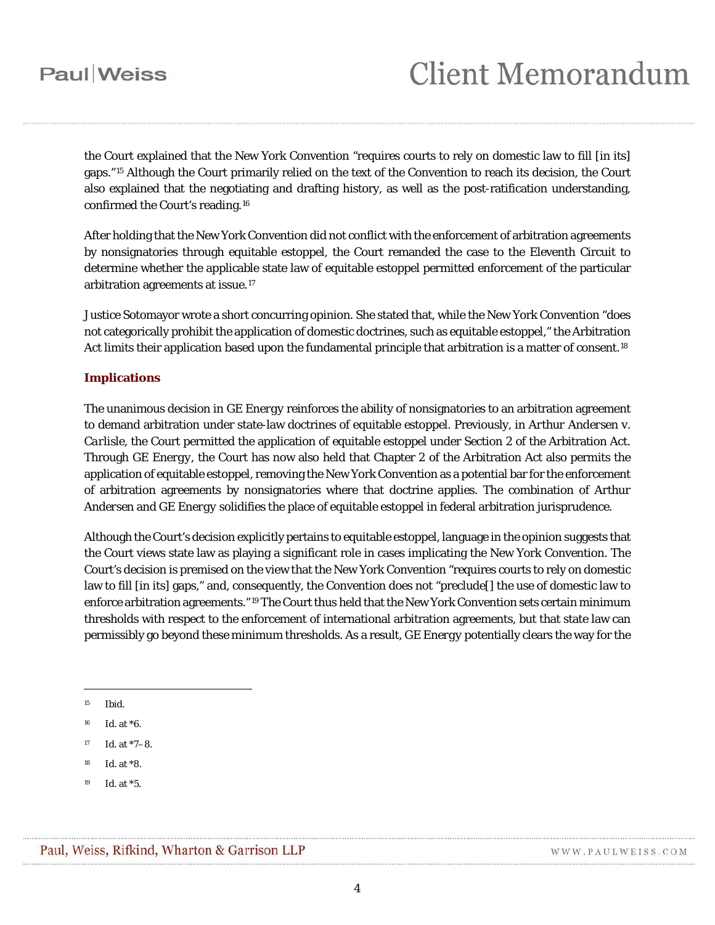the Court explained that the New York Convention "requires courts to rely on domestic law to fill [in its] gaps."[15](#page-3-0) Although the Court primarily relied on the text of the Convention to reach its decision, the Court also explained that the negotiating and drafting history, as well as the post-ratification understanding, confirmed the Court's reading.[16](#page-3-1)

After holding that the New York Convention did not conflict with the enforcement of arbitration agreements by nonsignatories through equitable estoppel, the Court remanded the case to the Eleventh Circuit to determine whether the applicable state law of equitable estoppel permitted enforcement of the particular arbitration agreements at issue.[17](#page-3-2)

Justice Sotomayor wrote a short concurring opinion. She stated that, while the New York Convention "does not categorically prohibit the application of domestic doctrines, such as equitable estoppel," the Arbitration Act limits their application based upon the fundamental principle that arbitration is a matter of consent.<sup>[18](#page-3-3)</sup>

#### **Implications**

The unanimous decision in *GE Energy* reinforces the ability of nonsignatories to an arbitration agreement to demand arbitration under state-law doctrines of equitable estoppel. Previously, in *Arthur Andersen* v. *Carlisle*, the Court permitted the application of equitable estoppel under Section 2 of the Arbitration Act. Through *GE Energy*, the Court has now also held that Chapter 2 of the Arbitration Act also permits the application of equitable estoppel, removing the New York Convention as a potential bar for the enforcement of arbitration agreements by nonsignatories where that doctrine applies. The combination of *Arthur Andersen* and *GE Energy* solidifies the place of equitable estoppel in federal arbitration jurisprudence.

Although the Court's decision explicitly pertains to equitable estoppel, language in the opinion suggests that the Court views state law as playing a significant role in cases implicating the New York Convention. The Court's decision is premised on the view that the New York Convention "requires courts to rely on domestic law to fill [in its] gaps," and, consequently, the Convention does not "preclude[] the use of domestic law to enforce arbitration agreements."[19](#page-3-4) The Court thus held that the New York Convention sets certain minimum thresholds with respect to the enforcement of international arbitration agreements, but that state law can permissibly go beyond these minimum thresholds. As a result, *GE Energy* potentially clears the way for the

 $\overline{a}$ 

<span id="page-3-0"></span><sup>15</sup> *Ibid*.

<span id="page-3-1"></span><sup>16</sup> *Id.* at \*6.

<span id="page-3-2"></span><sup>17</sup> *Id.* at \*7–8.

<span id="page-3-3"></span><sup>18</sup> *Id.* at \*8.

<span id="page-3-4"></span><sup>19</sup> *Id.* at \*5.